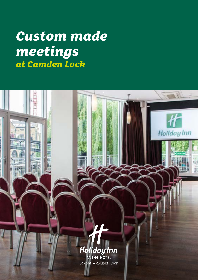# *Custom made meetings at Camden Lock*

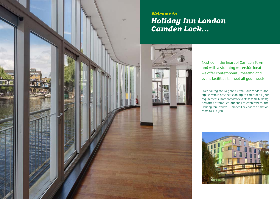

#### *Welcome to Holiday Inn London Camden Lock...*

Nestled in the heart of Camden Town and with a stunning waterside location, we offer contemporary meeting and event facilities to meet all your needs.

Overlooking the Regent's Canal, our modern and stylish venue has the flexibility to cater for all your requirements. From corporate events to team building activities or product launches to conferences, the Holiday Inn London – Camden Lock has the function room to suit you.

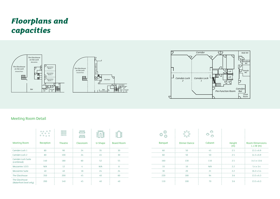## *Floorplans and capacities*







#### Meeting Room Detail

|                                           | $\begin{array}{c} 0.0 & 0.0 \\ 0.0 & 0.0 \end{array}$<br>$\circ$ $\circ$ $\circ$ | $\begin{array}{c} 0000 \\ 0000 \\ 0000 \\ 0000 \end{array}$ | $\begin{tabular}{ c c } \hline \quad \quad \quad & \quad \quad & \quad \quad \\ \hline \quad \quad & \quad \quad & \quad \quad \\ \hline \quad \quad & \quad \quad & \quad \quad \\ \hline \quad \quad & \quad \quad & \quad \quad \\ \hline \quad \quad & \quad \quad & \quad \quad \\ \hline \quad \quad & \quad \quad & \quad \quad \\ \hline \end{tabular}$<br>$\overbrace{ }^{\triangle\triangle\triangle\triangle}$ | $\triangle$ |                   |                |                     |         |              |                    |
|-------------------------------------------|----------------------------------------------------------------------------------|-------------------------------------------------------------|---------------------------------------------------------------------------------------------------------------------------------------------------------------------------------------------------------------------------------------------------------------------------------------------------------------------------------------------------------------------------------------------------------------------------|-------------|-------------------|----------------|---------------------|---------|--------------|--------------------|
| <b>Meeting Room</b>                       | Reception                                                                        | Theatre                                                     | Classroom                                                                                                                                                                                                                                                                                                                                                                                                                 | U-Shape     | <b>Board Room</b> | <b>Banquet</b> | <b>Dinner Dance</b> | Cabaret | Height<br>(m |                    |
| Camden Lock 1                             | 80                                                                               | 90                                                          | 24                                                                                                                                                                                                                                                                                                                                                                                                                        | 35          | 30                |                | 50                  | 45      | 2.5          | $13.1 \times 6.9$  |
| Camden Lock 2                             | 80                                                                               | 100                                                         | 24                                                                                                                                                                                                                                                                                                                                                                                                                        |             | 30                |                | 50                  | 50      | 2.5          | $14.5 \times 6.9$  |
| Camden Lock Suite<br>(combined)           | 140                                                                              | 180                                                         | 60                                                                                                                                                                                                                                                                                                                                                                                                                        | 52          | 55                | 160            | 130                 | 110     | 2.5          | $14.5 \times 13.6$ |
| Mezzanine 1/2/3                           | N/A                                                                              | 12                                                          |                                                                                                                                                                                                                                                                                                                                                                                                                           | N/A         | .                 |                | 10                  | N/A     | 2.2          | $5.4 \times 3.4$   |
| Mezzanine Suite                           | 40.                                                                              | 40.                                                         | 18                                                                                                                                                                                                                                                                                                                                                                                                                        | 24          | 24<br>.           | .<br>.         | 20                  | 21      | 2.2          | $16.2 \times 3.4$  |
| The Glasshouse                            | 350                                                                              | 200                                                         |                                                                                                                                                                                                                                                                                                                                                                                                                           |             | .                 | 220<br>.       | 180                 | 94      | 3.6          | $13.5 \times 6.3$  |
| The Glasshouse<br>(Waterfront level only) | 200                                                                              | 140                                                         | 45                                                                                                                                                                                                                                                                                                                                                                                                                        | 40          | 40                | 110            | 100                 | 70      | 3.6          | $13.5 \times 6.3$  |

| ಲ್ಲಿ ಲೈ        | $\Omega$            | $\begin{picture}(180,10) \put(0,0){\line(1,0){10}} \put(10,0){\line(1,0){10}} \put(10,0){\line(1,0){10}} \put(10,0){\line(1,0){10}} \put(10,0){\line(1,0){10}} \put(10,0){\line(1,0){10}} \put(10,0){\line(1,0){10}} \put(10,0){\line(1,0){10}} \put(10,0){\line(1,0){10}} \put(10,0){\line(1,0){10}} \put(10,0){\line(1,0){10}} \put(10,0){\line($ |               |                                            |
|----------------|---------------------|-----------------------------------------------------------------------------------------------------------------------------------------------------------------------------------------------------------------------------------------------------------------------------------------------------------------------------------------------------|---------------|--------------------------------------------|
| <b>Banquet</b> | <b>Dinner Dance</b> | Cabaret                                                                                                                                                                                                                                                                                                                                             | Height<br>(m) | <b>Room Dimensions</b><br>$L \times W$ (m) |
| 60             | 50                  | 45                                                                                                                                                                                                                                                                                                                                                  | 2.5           | $13.1 \times 6.9$                          |
| 60             | 50                  | 50                                                                                                                                                                                                                                                                                                                                                  | 2.5           | $14.5 \times 6.9$                          |
| 160            | 130                 | 110                                                                                                                                                                                                                                                                                                                                                 | 2.5           | 14.5 x 13.6                                |
| 10             | 10                  | N/A                                                                                                                                                                                                                                                                                                                                                 | 2.2           | $5.4 \times 3.4$                           |
| 30             | 20                  | 21                                                                                                                                                                                                                                                                                                                                                  | 2.2           | $16.2 \times 3.4$                          |
| 220            | 180                 | 94                                                                                                                                                                                                                                                                                                                                                  | 3.6           | $13.5 \times 6.3$                          |
| 110            | 100                 | 70                                                                                                                                                                                                                                                                                                                                                  | 3.6           | $13.5 \times 6.3$                          |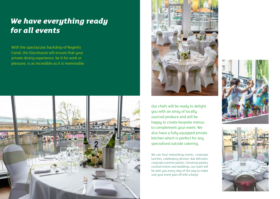## *We have everything ready for all events*

With the spectacular backdrop of Regents Canal, the Glasshouse will ensure that your private dining experience, be it for work or pleasure, is as incredible as it is memorable.





Our chefs will be ready to delight you with an array of locally sourced produce and will be happy to create bespoke menus to complement your event. We also have a fully equipped private kitchen which is perfect for any specialised outside catering.

We can host networking events, corporate lunches, celebratory dinners, Bar Mitzvahs, corporate summer parties, Christmas parties, cocktail events and weddings, our team will be with you every step of the way to make sure your event goes off with a bang!



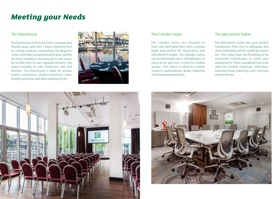## *Meeting your Needs*

#### The Glasshouse

The Glasshouse on the Lock Suite is a unique and flexible space split over 3 floors, boasting floor to ceiling windows overlooking the Regent's Canal. It provides an exceptional location, perfect for those needing a stunning all-in-one space. Accessible from its own separate entrance, the space includes its own cloakroom, bar and kitchen. The Glasshouse is ideal for private events, exhibitions, product launches, team building activities and after meeting drinks.



The Camden Suites are situated on their own dedicated floor with a private foyer area perfect for registration and refreshment breaks. The Camden Suites can accommodate up to 180 delegates or they can be split into 2 suites for smaller groups. This space is ideal for market research, examinations, AGMs, meetings and theatre presentations.

#### The Camden Suite The Mezzanine Suites

The Mezzanine Suites are your perfect boardrooms from 8 to 24 delegates and serve extremely well for syndicate rooms too. The suites have the flexibility to be sectioned individually to meet your requirements. These soundproof rooms are ideal for smaller meetings, interviews, brainstorming meetings and intimate private dinners.



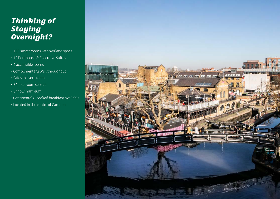## *Thinking of Staying Overnight?*

- 130 smart rooms with working space
- 12 Penthouse & Executive Suites
- 4 accessible rooms
- Complimentary WiFi throughout
- Safes in every room
- 24 hour room service
- 24hour mini gym
- Continental & cooked breakfast available
- Located in the centre of Camden